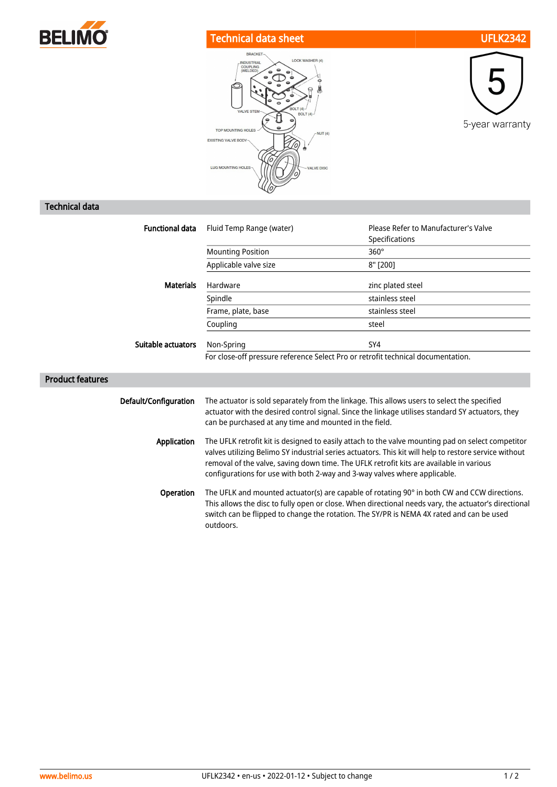

## Technical data sheet UFLK2342





## Technical data

| <b>Functional data</b>  | Fluid Temp Range (water)                                                                                                                                                                                                                                                                                                                                                           | Please Refer to Manufacturer's Valve<br>Specifications |
|-------------------------|------------------------------------------------------------------------------------------------------------------------------------------------------------------------------------------------------------------------------------------------------------------------------------------------------------------------------------------------------------------------------------|--------------------------------------------------------|
|                         | <b>Mounting Position</b>                                                                                                                                                                                                                                                                                                                                                           | $360^\circ$                                            |
|                         | Applicable valve size                                                                                                                                                                                                                                                                                                                                                              | 8" [200]                                               |
| <b>Materials</b>        | Hardware                                                                                                                                                                                                                                                                                                                                                                           | zinc plated steel                                      |
|                         | Spindle                                                                                                                                                                                                                                                                                                                                                                            | stainless steel                                        |
|                         | Frame, plate, base                                                                                                                                                                                                                                                                                                                                                                 | stainless steel                                        |
|                         | Coupling                                                                                                                                                                                                                                                                                                                                                                           | steel                                                  |
| Suitable actuators      | Non-Spring                                                                                                                                                                                                                                                                                                                                                                         | SY4                                                    |
|                         | For close-off pressure reference Select Pro or retrofit technical documentation.                                                                                                                                                                                                                                                                                                   |                                                        |
| <b>Product features</b> |                                                                                                                                                                                                                                                                                                                                                                                    |                                                        |
| Default/Configuration   | The actuator is sold separately from the linkage. This allows users to select the specified<br>actuator with the desired control signal. Since the linkage utilises standard SY actuators, they<br>can be purchased at any time and mounted in the field.                                                                                                                          |                                                        |
| <b>Application</b>      | The UFLK retrofit kit is designed to easily attach to the valve mounting pad on select competitor<br>valves utilizing Belimo SY industrial series actuators. This kit will help to restore service without<br>removal of the valve, saving down time. The UFLK retrofit kits are available in various<br>configurations for use with both 2-way and 3-way valves where applicable. |                                                        |
| Operation               | The UFLK and mounted actuator(s) are capable of rotating 90° in both CW and CCW directions.<br>This allows the disc to fully open or close. When directional needs vary, the actuator's directional<br>switch can be flipped to change the rotation. The SY/PR is NEMA 4X rated and can be used<br>outdoors.                                                                       |                                                        |